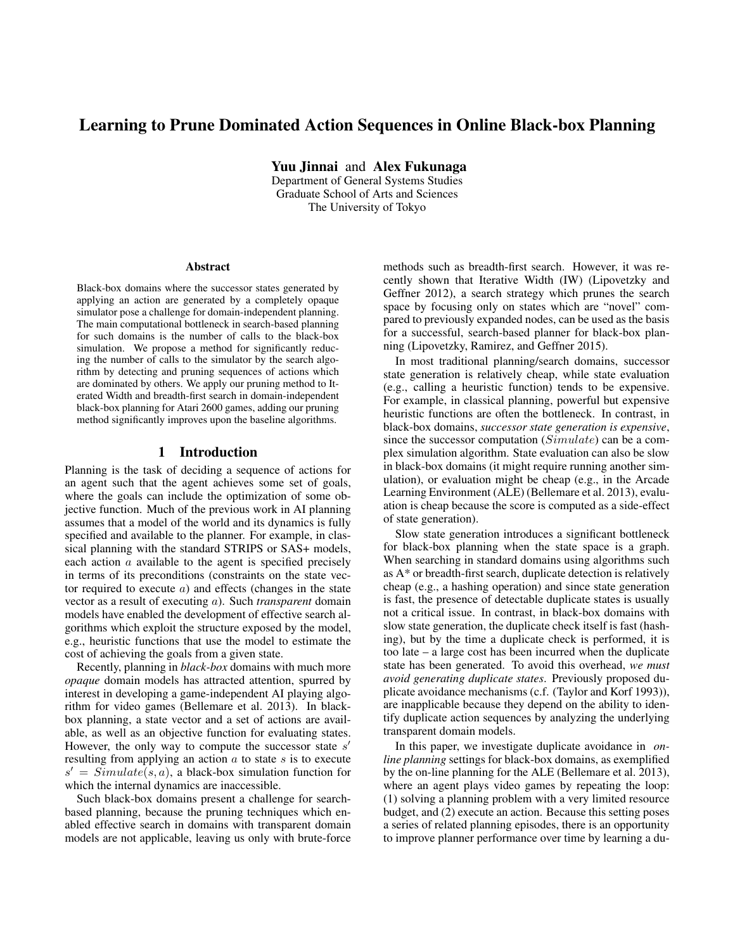# Learning to Prune Dominated Action Sequences in Online Black-box Planning

Yuu Jinnai and Alex Fukunaga

Department of General Systems Studies Graduate School of Arts and Sciences The University of Tokyo

#### Abstract

Black-box domains where the successor states generated by applying an action are generated by a completely opaque simulator pose a challenge for domain-independent planning. The main computational bottleneck in search-based planning for such domains is the number of calls to the black-box simulation. We propose a method for significantly reducing the number of calls to the simulator by the search algorithm by detecting and pruning sequences of actions which are dominated by others. We apply our pruning method to Iterated Width and breadth-first search in domain-independent black-box planning for Atari 2600 games, adding our pruning method significantly improves upon the baseline algorithms.

#### 1 Introduction

Planning is the task of deciding a sequence of actions for an agent such that the agent achieves some set of goals, where the goals can include the optimization of some objective function. Much of the previous work in AI planning assumes that a model of the world and its dynamics is fully specified and available to the planner. For example, in classical planning with the standard STRIPS or SAS+ models, each action a available to the agent is specified precisely in terms of its preconditions (constraints on the state vector required to execute  $a$ ) and effects (changes in the state vector as a result of executing a). Such *transparent* domain models have enabled the development of effective search algorithms which exploit the structure exposed by the model, e.g., heuristic functions that use the model to estimate the cost of achieving the goals from a given state.

Recently, planning in *black-box* domains with much more *opaque* domain models has attracted attention, spurred by interest in developing a game-independent AI playing algorithm for video games (Bellemare et al. 2013). In blackbox planning, a state vector and a set of actions are available, as well as an objective function for evaluating states. However, the only way to compute the successor state  $s'$ resulting from applying an action  $a$  to state  $s$  is to execute  $s' = Simulate(s, a)$ , a black-box simulation function for which the internal dynamics are inaccessible.

Such black-box domains present a challenge for searchbased planning, because the pruning techniques which enabled effective search in domains with transparent domain models are not applicable, leaving us only with brute-force

methods such as breadth-first search. However, it was recently shown that Iterative Width (IW) (Lipovetzky and Geffner 2012), a search strategy which prunes the search space by focusing only on states which are "novel" compared to previously expanded nodes, can be used as the basis for a successful, search-based planner for black-box planning (Lipovetzky, Ramirez, and Geffner 2015).

In most traditional planning/search domains, successor state generation is relatively cheap, while state evaluation (e.g., calling a heuristic function) tends to be expensive. For example, in classical planning, powerful but expensive heuristic functions are often the bottleneck. In contrast, in black-box domains, *successor state generation is expensive*, since the successor computation (Simulate) can be a complex simulation algorithm. State evaluation can also be slow in black-box domains (it might require running another simulation), or evaluation might be cheap (e.g., in the Arcade Learning Environment (ALE) (Bellemare et al. 2013), evaluation is cheap because the score is computed as a side-effect of state generation).

Slow state generation introduces a significant bottleneck for black-box planning when the state space is a graph. When searching in standard domains using algorithms such as A\* or breadth-first search, duplicate detection is relatively cheap (e.g., a hashing operation) and since state generation is fast, the presence of detectable duplicate states is usually not a critical issue. In contrast, in black-box domains with slow state generation, the duplicate check itself is fast (hashing), but by the time a duplicate check is performed, it is too late – a large cost has been incurred when the duplicate state has been generated. To avoid this overhead, *we must avoid generating duplicate states*. Previously proposed duplicate avoidance mechanisms (c.f. (Taylor and Korf 1993)), are inapplicable because they depend on the ability to identify duplicate action sequences by analyzing the underlying transparent domain models.

In this paper, we investigate duplicate avoidance in *online planning* settings for black-box domains, as exemplified by the on-line planning for the ALE (Bellemare et al. 2013), where an agent plays video games by repeating the loop: (1) solving a planning problem with a very limited resource budget, and (2) execute an action. Because this setting poses a series of related planning episodes, there is an opportunity to improve planner performance over time by learning a du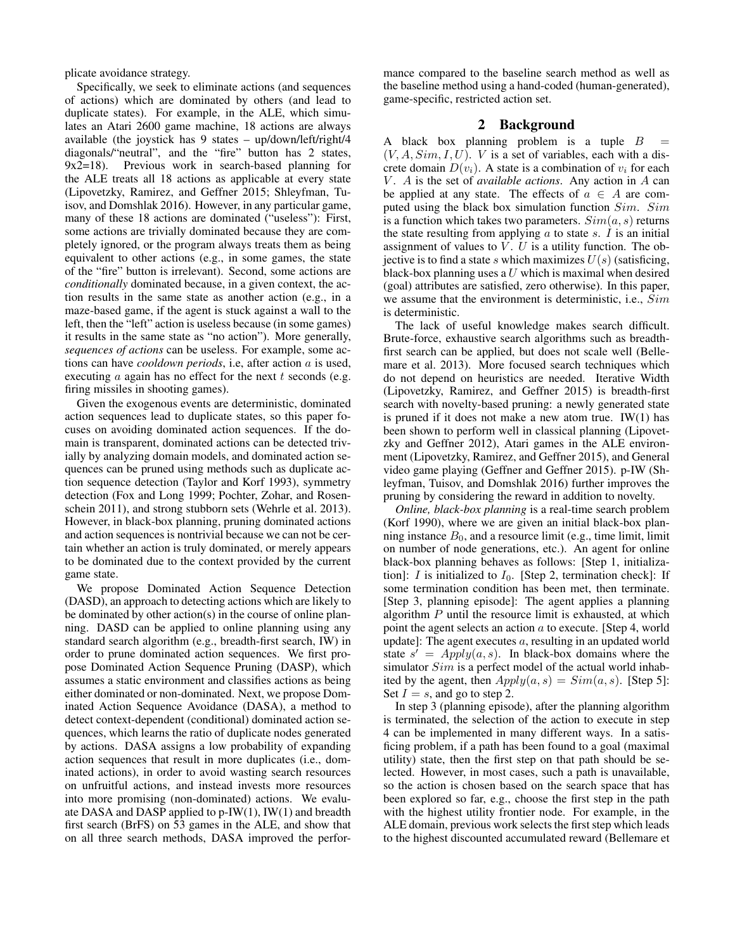plicate avoidance strategy.

Specifically, we seek to eliminate actions (and sequences of actions) which are dominated by others (and lead to duplicate states). For example, in the ALE, which simulates an Atari 2600 game machine, 18 actions are always available (the joystick has 9 states – up/down/left/right/4 diagonals/"neutral", and the "fire" button has 2 states, 9x2=18). Previous work in search-based planning for the ALE treats all 18 actions as applicable at every state (Lipovetzky, Ramirez, and Geffner 2015; Shleyfman, Tuisov, and Domshlak 2016). However, in any particular game, many of these 18 actions are dominated ("useless"): First, some actions are trivially dominated because they are completely ignored, or the program always treats them as being equivalent to other actions (e.g., in some games, the state of the "fire" button is irrelevant). Second, some actions are *conditionally* dominated because, in a given context, the action results in the same state as another action (e.g., in a maze-based game, if the agent is stuck against a wall to the left, then the "left" action is useless because (in some games) it results in the same state as "no action"). More generally, *sequences of actions* can be useless. For example, some actions can have *cooldown periods*, i.e, after action a is used, executing  $a$  again has no effect for the next  $t$  seconds (e.g. firing missiles in shooting games).

Given the exogenous events are deterministic, dominated action sequences lead to duplicate states, so this paper focuses on avoiding dominated action sequences. If the domain is transparent, dominated actions can be detected trivially by analyzing domain models, and dominated action sequences can be pruned using methods such as duplicate action sequence detection (Taylor and Korf 1993), symmetry detection (Fox and Long 1999; Pochter, Zohar, and Rosenschein 2011), and strong stubborn sets (Wehrle et al. 2013). However, in black-box planning, pruning dominated actions and action sequences is nontrivial because we can not be certain whether an action is truly dominated, or merely appears to be dominated due to the context provided by the current game state.

We propose Dominated Action Sequence Detection (DASD), an approach to detecting actions which are likely to be dominated by other action(s) in the course of online planning. DASD can be applied to online planning using any standard search algorithm (e.g., breadth-first search, IW) in order to prune dominated action sequences. We first propose Dominated Action Sequence Pruning (DASP), which assumes a static environment and classifies actions as being either dominated or non-dominated. Next, we propose Dominated Action Sequence Avoidance (DASA), a method to detect context-dependent (conditional) dominated action sequences, which learns the ratio of duplicate nodes generated by actions. DASA assigns a low probability of expanding action sequences that result in more duplicates (i.e., dominated actions), in order to avoid wasting search resources on unfruitful actions, and instead invests more resources into more promising (non-dominated) actions. We evaluate DASA and DASP applied to p-IW(1), IW(1) and breadth first search (BrFS) on 53 games in the ALE, and show that on all three search methods, DASA improved the perfor-

mance compared to the baseline search method as well as the baseline method using a hand-coded (human-generated), game-specific, restricted action set.

### 2 Background

A black box planning problem is a tuple  $B$  $(V, A, Sim, I, U)$ . *V* is a set of variables, each with a discrete domain  $D(v_i)$ . A state is a combination of  $v_i$  for each V . A is the set of *available actions*. Any action in A can be applied at any state. The effects of  $a \in A$  are computed using the black box simulation function Sim. Sim is a function which takes two parameters.  $Sim(a, s)$  returns the state resulting from applying  $\alpha$  to state  $\alpha$ . I is an initial assignment of values to  $V$ .  $U$  is a utility function. The objective is to find a state s which maximizes  $U(s)$  (satisficing, black-box planning uses a  $U$  which is maximal when desired (goal) attributes are satisfied, zero otherwise). In this paper, we assume that the environment is deterministic, i.e., Sim is deterministic.

The lack of useful knowledge makes search difficult. Brute-force, exhaustive search algorithms such as breadthfirst search can be applied, but does not scale well (Bellemare et al. 2013). More focused search techniques which do not depend on heuristics are needed. Iterative Width (Lipovetzky, Ramirez, and Geffner 2015) is breadth-first search with novelty-based pruning: a newly generated state is pruned if it does not make a new atom true.  $IW(1)$  has been shown to perform well in classical planning (Lipovetzky and Geffner 2012), Atari games in the ALE environment (Lipovetzky, Ramirez, and Geffner 2015), and General video game playing (Geffner and Geffner 2015). p-IW (Shleyfman, Tuisov, and Domshlak 2016) further improves the pruning by considering the reward in addition to novelty.

*Online, black-box planning* is a real-time search problem (Korf 1990), where we are given an initial black-box planning instance  $B_0$ , and a resource limit (e.g., time limit, limit on number of node generations, etc.). An agent for online black-box planning behaves as follows: [Step 1, initialization]: *I* is initialized to  $I_0$ . [Step 2, termination check]: If some termination condition has been met, then terminate. [Step 3, planning episode]: The agent applies a planning algorithm  $P$  until the resource limit is exhausted, at which point the agent selects an action a to execute. [Step 4, world update]: The agent executes a, resulting in an updated world state  $s' = Apply(a, s)$ . In black-box domains where the simulator *Sim* is a perfect model of the actual world inhabited by the agent, then  $Apply(a, s) = Sim(a, s)$ . [Step 5]: Set  $I = s$ , and go to step 2.

In step 3 (planning episode), after the planning algorithm is terminated, the selection of the action to execute in step 4 can be implemented in many different ways. In a satisficing problem, if a path has been found to a goal (maximal utility) state, then the first step on that path should be selected. However, in most cases, such a path is unavailable, so the action is chosen based on the search space that has been explored so far, e.g., choose the first step in the path with the highest utility frontier node. For example, in the ALE domain, previous work selects the first step which leads to the highest discounted accumulated reward (Bellemare et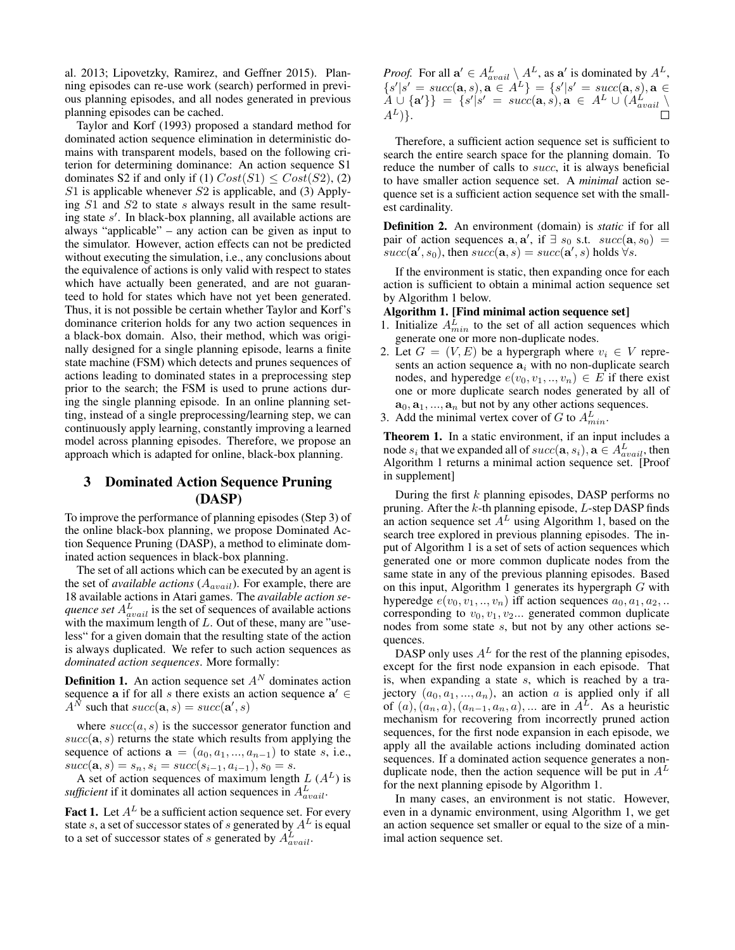al. 2013; Lipovetzky, Ramirez, and Geffner 2015). Planning episodes can re-use work (search) performed in previous planning episodes, and all nodes generated in previous planning episodes can be cached.

Taylor and Korf (1993) proposed a standard method for dominated action sequence elimination in deterministic domains with transparent models, based on the following criterion for determining dominance: An action sequence S1 dominates S2 if and only if (1)  $Cost(S1) \le Cost(S2)$ , (2)  $S1$  is applicable whenever  $S2$  is applicable, and (3) Applying  $S1$  and  $S2$  to state s always result in the same resulting state s'. In black-box planning, all available actions are always "applicable" – any action can be given as input to the simulator. However, action effects can not be predicted without executing the simulation, i.e., any conclusions about the equivalence of actions is only valid with respect to states which have actually been generated, and are not guaranteed to hold for states which have not yet been generated. Thus, it is not possible be certain whether Taylor and Korf's dominance criterion holds for any two action sequences in a black-box domain. Also, their method, which was originally designed for a single planning episode, learns a finite state machine (FSM) which detects and prunes sequences of actions leading to dominated states in a preprocessing step prior to the search; the FSM is used to prune actions during the single planning episode. In an online planning setting, instead of a single preprocessing/learning step, we can continuously apply learning, constantly improving a learned model across planning episodes. Therefore, we propose an approach which is adapted for online, black-box planning.

## 3 Dominated Action Sequence Pruning (DASP)

To improve the performance of planning episodes (Step 3) of the online black-box planning, we propose Dominated Action Sequence Pruning (DASP), a method to eliminate dominated action sequences in black-box planning.

The set of all actions which can be executed by an agent is the set of *available actions*  $(A_{avail})$ . For example, there are 18 available actions in Atari games. The *available action sequence set*  $A_{avail}^L$  is the set of sequences of available actions with the maximum length of  $L$ . Out of these, many are "useless" for a given domain that the resulting state of the action is always duplicated. We refer to such action sequences as *dominated action sequences*. More formally:

**Definition 1.** An action sequence set  $A^N$  dominates action sequence a if for all s there exists an action sequence  $a' \in$  $A^{\tilde{N}}$  such that  $succ(\mathbf{a}, s) = succ(\mathbf{a}', s)$ 

where  $succ(a, s)$  is the successor generator function and  $succ(a, s)$  returns the state which results from applying the sequence of actions  $\mathbf{a} = (a_0, a_1, ..., a_{n-1})$  to state s, i.e.,  $succ(\mathbf{a}, s) = s_n, s_i = succ(s_{i-1}, a_{i-1}), s_0 = s.$ 

A set of action sequences of maximum length  $L(A^L)$  is sufficient if it dominates all action sequences in  $A_{avail}^L$ .

**Fact 1.** Let  $A<sup>L</sup>$  be a sufficient action sequence set. For every state s, a set of successor states of s generated by  $A<sup>L</sup>$  is equal to a set of successor states of s generated by  $A_{avail}^L$ .

*Proof.* For all  $\mathbf{a}' \in A_{avail}^L \setminus A^L$ , as  $\mathbf{a}'$  is dominated by  $A^L$ ,  $\{s' | s' = succ(\mathbf{a}, s), \mathbf{a} \in A^L\} = \{s' | s' = succ(\mathbf{a}, s), \mathbf{a} \in A^L\}$  $\{A \cup \{a'\}\} = \{s'|s' = succ(\mathbf{a}, s), \mathbf{a} \in A^L \cup (A^L_{avail} \setminus \mathbf{a}\})$  $A^L$ ) }.

Therefore, a sufficient action sequence set is sufficient to search the entire search space for the planning domain. To reduce the number of calls to succ, it is always beneficial to have smaller action sequence set. A *minimal* action sequence set is a sufficient action sequence set with the smallest cardinality.

Definition 2. An environment (domain) is *static* if for all pair of action sequences  $\mathbf{a}, \mathbf{a}'$ , if  $\exists s_0$  s.t.  $succ(\mathbf{a}, s_0) =$  $succ(\mathbf{a}', s_0)$ , then  $succ(\mathbf{a}, s) = succ(\mathbf{a}', s)$  holds  $\forall s$ .

If the environment is static, then expanding once for each action is sufficient to obtain a minimal action sequence set by Algorithm 1 below.

#### Algorithm 1. [Find minimal action sequence set]

- 1. Initialize  $A_{min}^L$  to the set of all action sequences which generate one or more non-duplicate nodes.
- 2. Let  $G = (V, E)$  be a hypergraph where  $v_i \in V$  represents an action sequence  $a_i$  with no non-duplicate search nodes, and hyperedge  $e(v_0, v_1, \ldots, v_n) \in E$  if there exist one or more duplicate search nodes generated by all of  $a_0, a_1, ..., a_n$  but not by any other actions sequences.
- 3. Add the minimal vertex cover of G to  $A_{min}^L$ .

Theorem 1. In a static environment, if an input includes a node  $s_i$  that we expanded all of  $succ(\mathbf{a}, s_i)$ ,  $\mathbf{a} \in A_{avail}^L$ , then Algorithm 1 returns a minimal action sequence set. [Proof in supplement]

During the first  $k$  planning episodes, DASP performs no pruning. After the k-th planning episode, L-step DASP finds an action sequence set  $A<sup>L</sup>$  using Algorithm 1, based on the search tree explored in previous planning episodes. The input of Algorithm 1 is a set of sets of action sequences which generated one or more common duplicate nodes from the same state in any of the previous planning episodes. Based on this input, Algorithm 1 generates its hypergraph  $G$  with hyperedge  $e(v_0, v_1, \ldots, v_n)$  iff action sequences  $a_0, a_1, a_2, \ldots$ corresponding to  $v_0, v_1, v_2...$  generated common duplicate nodes from some state s, but not by any other actions sequences.

DASP only uses  $A<sup>L</sup>$  for the rest of the planning episodes, except for the first node expansion in each episode. That is, when expanding a state  $s$ , which is reached by a trajectory  $(a_0, a_1, ..., a_n)$ , an action a is applied only if all of  $(a)$ ,  $(a_n, a)$ ,  $(a_{n-1}, a_n, a)$ , ... are in  $A<sup>L</sup>$ . As a heuristic mechanism for recovering from incorrectly pruned action sequences, for the first node expansion in each episode, we apply all the available actions including dominated action sequences. If a dominated action sequence generates a nonduplicate node, then the action sequence will be put in  $A<sup>L</sup>$ for the next planning episode by Algorithm 1.

In many cases, an environment is not static. However, even in a dynamic environment, using Algorithm 1, we get an action sequence set smaller or equal to the size of a minimal action sequence set.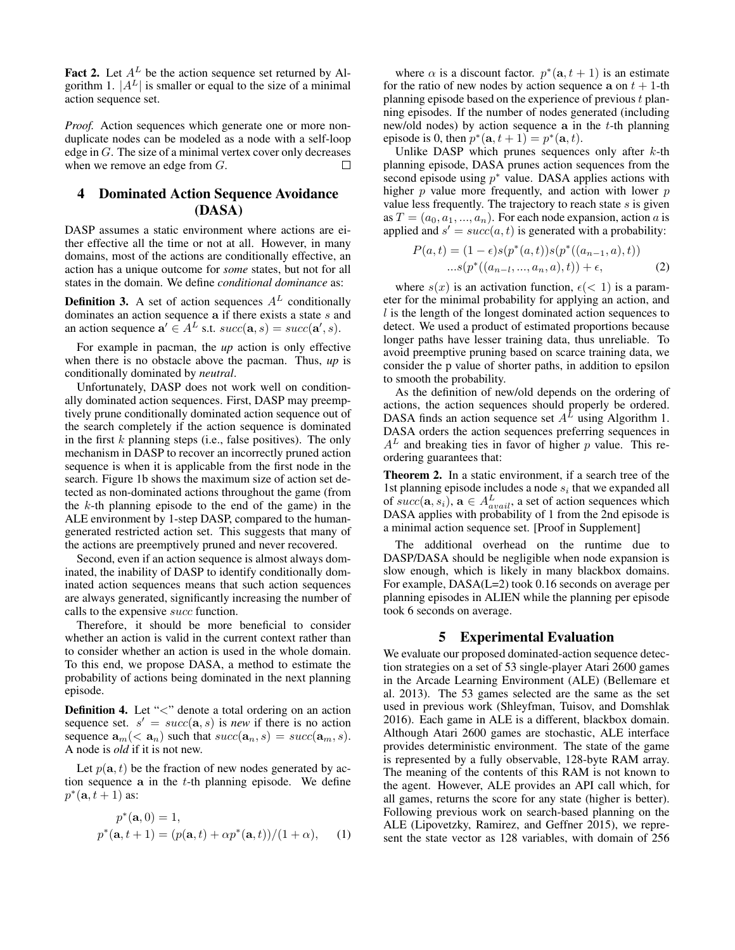Fact 2. Let  $A^L$  be the action sequence set returned by Algorithm 1.  $|A^L|$  is smaller or equal to the size of a minimal action sequence set.

*Proof.* Action sequences which generate one or more nonduplicate nodes can be modeled as a node with a self-loop edge in G. The size of a minimal vertex cover only decreases when we remove an edge from G. П

## 4 Dominated Action Sequence Avoidance (DASA)

DASP assumes a static environment where actions are either effective all the time or not at all. However, in many domains, most of the actions are conditionally effective, an action has a unique outcome for *some* states, but not for all states in the domain. We define *conditional dominance* as:

**Definition 3.** A set of action sequences  $A<sup>L</sup>$  conditionally dominates an action sequence  $a$  if there exists a state  $s$  and an action sequence  $\mathbf{a}' \in A^L$  s.t.  $succ(\mathbf{a}, s) = succ(\mathbf{a}', s)$ .

For example in pacman, the *up* action is only effective when there is no obstacle above the pacman. Thus, *up* is conditionally dominated by *neutral*.

Unfortunately, DASP does not work well on conditionally dominated action sequences. First, DASP may preemptively prune conditionally dominated action sequence out of the search completely if the action sequence is dominated in the first  $k$  planning steps (i.e., false positives). The only mechanism in DASP to recover an incorrectly pruned action sequence is when it is applicable from the first node in the search. Figure 1b shows the maximum size of action set detected as non-dominated actions throughout the game (from the  $k$ -th planning episode to the end of the game) in the ALE environment by 1-step DASP, compared to the humangenerated restricted action set. This suggests that many of the actions are preemptively pruned and never recovered.

Second, even if an action sequence is almost always dominated, the inability of DASP to identify conditionally dominated action sequences means that such action sequences are always generated, significantly increasing the number of calls to the expensive succ function.

Therefore, it should be more beneficial to consider whether an action is valid in the current context rather than to consider whether an action is used in the whole domain. To this end, we propose DASA, a method to estimate the probability of actions being dominated in the next planning episode.

**Definition 4.** Let " $\lt$ " denote a total ordering on an action sequence set.  $s' = succ(\mathbf{a}, s)$  is *new* if there is no action sequence  $\mathbf{a}_m \langle \mathbf{a}_n \rangle$  such that  $succ(\mathbf{a}_n, s) = succ(\mathbf{a}_m, s)$ . A node is *old* if it is not new.

Let  $p(\mathbf{a}, t)$  be the fraction of new nodes generated by action sequence a in the  $t$ -th planning episode. We define  $p^*(\mathbf{a}, t+1)$  as:

$$
p^*(\mathbf{a}, 0) = 1,
$$
  

$$
p^*(\mathbf{a}, t + 1) = (p(\mathbf{a}, t) + \alpha p^*(\mathbf{a}, t))/(1 + \alpha),
$$
 (1)

where  $\alpha$  is a discount factor.  $p^*(\mathbf{a}, t+1)$  is an estimate for the ratio of new nodes by action sequence a on  $t + 1$ -th planning episode based on the experience of previous  $t$  planning episodes. If the number of nodes generated (including new/old nodes) by action sequence  $a$  in the  $t$ -th planning episode is 0, then  $p^*(a, t + 1) = p^*(a, t)$ .

Unlike DASP which prunes sequences only after  $k$ -th planning episode, DASA prunes action sequences from the second episode using  $p^*$  value. DASA applies actions with higher  $p$  value more frequently, and action with lower  $p$ value less frequently. The trajectory to reach state  $s$  is given as  $T = (a_0, a_1, ..., a_n)$ . For each node expansion, action a is applied and  $s' = succ(a, t)$  is generated with a probability:

$$
P(a,t) = (1 - \epsilon)s(p^*(a,t))s(p^*((a_{n-1}, a), t))
$$
  
...
$$
s(p^*((a_{n-l}, ..., a_n, a), t)) + \epsilon,
$$
 (2)

where  $s(x)$  is an activation function,  $\epsilon(< 1)$  is a parameter for the minimal probability for applying an action, and  $l$  is the length of the longest dominated action sequences to detect. We used a product of estimated proportions because longer paths have lesser training data, thus unreliable. To avoid preemptive pruning based on scarce training data, we consider the p value of shorter paths, in addition to epsilon to smooth the probability.

As the definition of new/old depends on the ordering of actions, the action sequences should properly be ordered. DASA finds an action sequence set  $A^L$  using Algorithm 1. DASA orders the action sequences preferring sequences in  $A<sup>L</sup>$  and breaking ties in favor of higher p value. This reordering guarantees that:

Theorem 2. In a static environment, if a search tree of the 1st planning episode includes a node  $s_i$  that we expanded all of  $succ(\mathbf{a}, s_i)$ ,  $\mathbf{a} \in A_{avail}^L$ , a set of action sequences which DASA applies with probability of 1 from the 2nd episode is a minimal action sequence set. [Proof in Supplement]

The additional overhead on the runtime due to DASP/DASA should be negligible when node expansion is slow enough, which is likely in many blackbox domains. For example, DASA(L=2) took 0.16 seconds on average per planning episodes in ALIEN while the planning per episode took 6 seconds on average.

### 5 Experimental Evaluation

We evaluate our proposed dominated-action sequence detection strategies on a set of 53 single-player Atari 2600 games in the Arcade Learning Environment (ALE) (Bellemare et al. 2013). The 53 games selected are the same as the set used in previous work (Shleyfman, Tuisov, and Domshlak 2016). Each game in ALE is a different, blackbox domain. Although Atari 2600 games are stochastic, ALE interface provides deterministic environment. The state of the game is represented by a fully observable, 128-byte RAM array. The meaning of the contents of this RAM is not known to the agent. However, ALE provides an API call which, for all games, returns the score for any state (higher is better). Following previous work on search-based planning on the ALE (Lipovetzky, Ramirez, and Geffner 2015), we represent the state vector as 128 variables, with domain of 256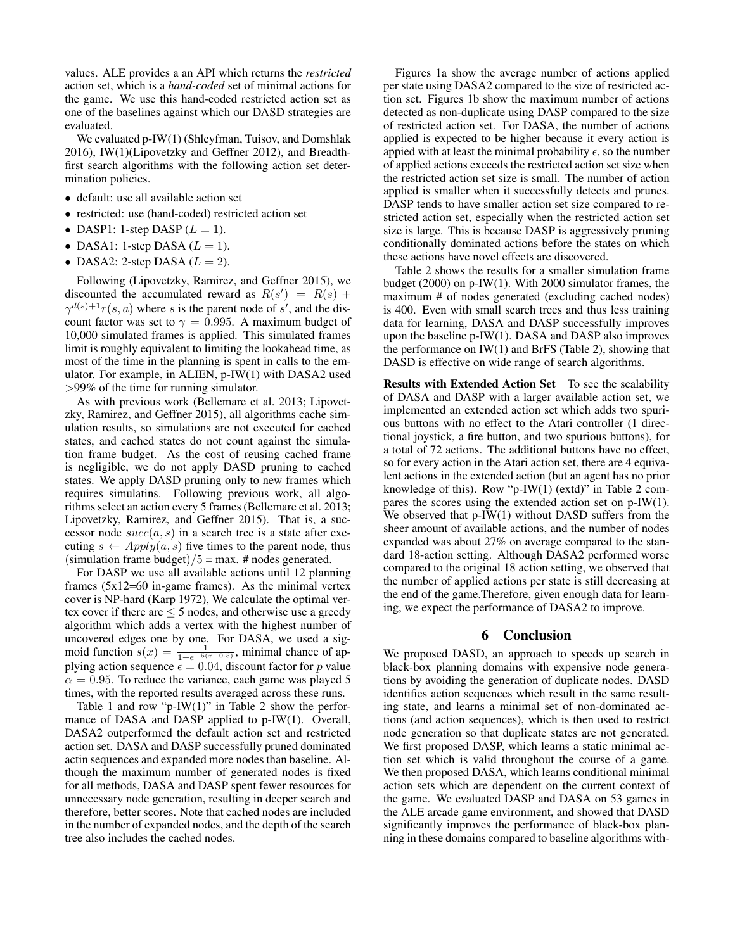values. ALE provides a an API which returns the *restricted* action set, which is a *hand-coded* set of minimal actions for the game. We use this hand-coded restricted action set as one of the baselines against which our DASD strategies are evaluated.

We evaluated p-IW(1) (Shleyfman, Tuisov, and Domshlak 2016), IW(1)(Lipovetzky and Geffner 2012), and Breadthfirst search algorithms with the following action set determination policies.

- default: use all available action set
- restricted: use (hand-coded) restricted action set
- DASP1: 1-step DASP  $(L = 1)$ .
- DASA1: 1-step DASA  $(L = 1)$ .
- DASA2: 2-step DASA  $(L = 2)$ .

Following (Lipovetzky, Ramirez, and Geffner 2015), we discounted the accumulated reward as  $R(s') = R(s) + R(s)$  $\gamma^{d(s)+1}r(s, a)$  where s is the parent node of s', and the discount factor was set to  $\gamma = 0.995$ . A maximum budget of 10,000 simulated frames is applied. This simulated frames limit is roughly equivalent to limiting the lookahead time, as most of the time in the planning is spent in calls to the emulator. For example, in ALIEN, p-IW(1) with DASA2 used >99% of the time for running simulator.

As with previous work (Bellemare et al. 2013; Lipovetzky, Ramirez, and Geffner 2015), all algorithms cache simulation results, so simulations are not executed for cached states, and cached states do not count against the simulation frame budget. As the cost of reusing cached frame is negligible, we do not apply DASD pruning to cached states. We apply DASD pruning only to new frames which requires simulatins. Following previous work, all algorithms select an action every 5 frames (Bellemare et al. 2013; Lipovetzky, Ramirez, and Geffner 2015). That is, a successor node  $succ(a, s)$  in a search tree is a state after executing  $s \leftarrow Apply(a, s)$  five times to the parent node, thus (simulation frame budget)/ $5 = max$ . # nodes generated.

For DASP we use all available actions until 12 planning frames  $(5x12=60$  in-game frames). As the minimal vertex cover is NP-hard (Karp 1972), We calculate the optimal vertex cover if there are  $\leq$  5 nodes, and otherwise use a greedy algorithm which adds a vertex with the highest number of uncovered edges one by one. For DASA, we used a sigmoid function  $s(x) = \frac{1}{1 + e^{-5(x - 0.5)}}$ , minimal chance of applying action sequence  $\epsilon = 0.04$ , discount factor for p value  $\alpha = 0.95$ . To reduce the variance, each game was played 5 times, with the reported results averaged across these runs.

Table 1 and row "p-IW $(1)$ " in Table 2 show the performance of DASA and DASP applied to p-IW(1). Overall, DASA2 outperformed the default action set and restricted action set. DASA and DASP successfully pruned dominated actin sequences and expanded more nodes than baseline. Although the maximum number of generated nodes is fixed for all methods, DASA and DASP spent fewer resources for unnecessary node generation, resulting in deeper search and therefore, better scores. Note that cached nodes are included in the number of expanded nodes, and the depth of the search tree also includes the cached nodes.

Figures 1a show the average number of actions applied per state using DASA2 compared to the size of restricted action set. Figures 1b show the maximum number of actions detected as non-duplicate using DASP compared to the size of restricted action set. For DASA, the number of actions applied is expected to be higher because it every action is appied with at least the minimal probability  $\epsilon$ , so the number of applied actions exceeds the restricted action set size when the restricted action set size is small. The number of action applied is smaller when it successfully detects and prunes. DASP tends to have smaller action set size compared to restricted action set, especially when the restricted action set size is large. This is because DASP is aggressively pruning conditionally dominated actions before the states on which these actions have novel effects are discovered.

Table 2 shows the results for a smaller simulation frame budget (2000) on p-IW(1). With 2000 simulator frames, the maximum # of nodes generated (excluding cached nodes) is 400. Even with small search trees and thus less training data for learning, DASA and DASP successfully improves upon the baseline p-IW(1). DASA and DASP also improves the performance on IW(1) and BrFS (Table 2), showing that DASD is effective on wide range of search algorithms.

Results with Extended Action Set To see the scalability of DASA and DASP with a larger available action set, we implemented an extended action set which adds two spurious buttons with no effect to the Atari controller (1 directional joystick, a fire button, and two spurious buttons), for a total of 72 actions. The additional buttons have no effect, so for every action in the Atari action set, there are 4 equivalent actions in the extended action (but an agent has no prior knowledge of this). Row "p-IW(1) (extd)" in Table 2 compares the scores using the extended action set on p-IW(1). We observed that  $p$ -IW(1) without DASD suffers from the sheer amount of available actions, and the number of nodes expanded was about 27% on average compared to the standard 18-action setting. Although DASA2 performed worse compared to the original 18 action setting, we observed that the number of applied actions per state is still decreasing at the end of the game.Therefore, given enough data for learning, we expect the performance of DASA2 to improve.

#### 6 Conclusion

We proposed DASD, an approach to speeds up search in black-box planning domains with expensive node generations by avoiding the generation of duplicate nodes. DASD identifies action sequences which result in the same resulting state, and learns a minimal set of non-dominated actions (and action sequences), which is then used to restrict node generation so that duplicate states are not generated. We first proposed DASP, which learns a static minimal action set which is valid throughout the course of a game. We then proposed DASA, which learns conditional minimal action sets which are dependent on the current context of the game. We evaluated DASP and DASA on 53 games in the ALE arcade game environment, and showed that DASD significantly improves the performance of black-box planning in these domains compared to baseline algorithms with-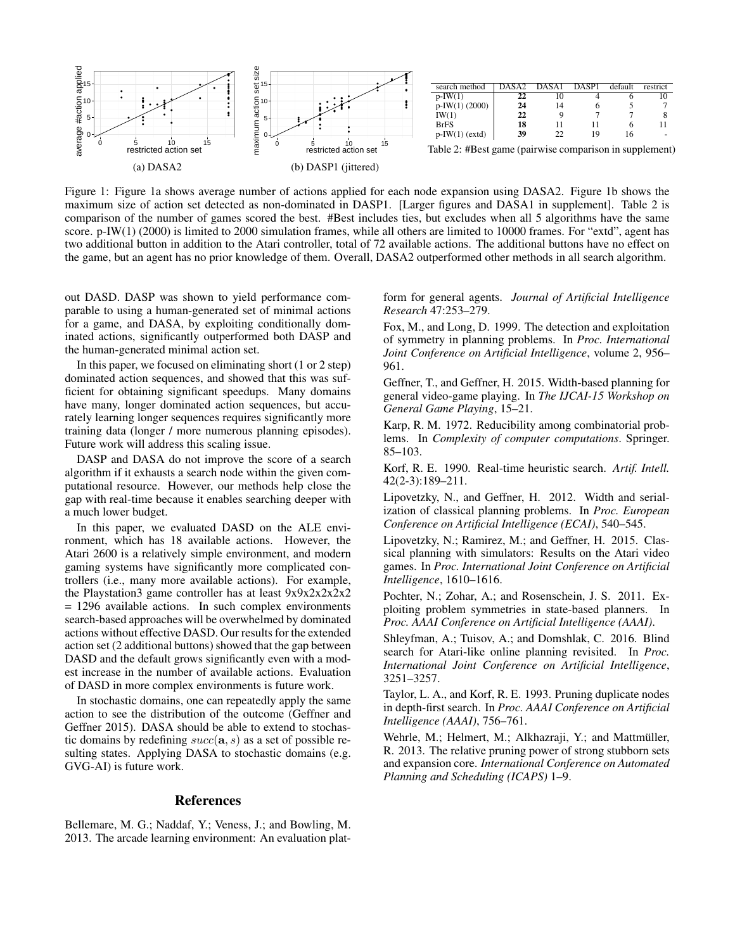

Figure 1: Figure 1a shows average number of actions applied for each node expansion using DASA2. Figure 1b shows the maximum size of action set detected as non-dominated in DASP1. [Larger figures and DASA1 in supplement]. Table 2 is comparison of the number of games scored the best. #Best includes ties, but excludes when all 5 algorithms have the same score. p-IW(1) (2000) is limited to 2000 simulation frames, while all others are limited to 10000 frames. For "extd", agent has two additional button in addition to the Atari controller, total of 72 available actions. The additional buttons have no effect on the game, but an agent has no prior knowledge of them. Overall, DASA2 outperformed other methods in all search algorithm.

out DASD. DASP was shown to yield performance comparable to using a human-generated set of minimal actions for a game, and DASA, by exploiting conditionally dominated actions, significantly outperformed both DASP and the human-generated minimal action set.

In this paper, we focused on eliminating short (1 or 2 step) dominated action sequences, and showed that this was sufficient for obtaining significant speedups. Many domains have many, longer dominated action sequences, but accurately learning longer sequences requires significantly more training data (longer / more numerous planning episodes). Future work will address this scaling issue.

DASP and DASA do not improve the score of a search algorithm if it exhausts a search node within the given computational resource. However, our methods help close the gap with real-time because it enables searching deeper with a much lower budget.

In this paper, we evaluated DASD on the ALE environment, which has 18 available actions. However, the Atari 2600 is a relatively simple environment, and modern gaming systems have significantly more complicated controllers (i.e., many more available actions). For example, the Playstation3 game controller has at least 9x9x2x2x2x2 = 1296 available actions. In such complex environments search-based approaches will be overwhelmed by dominated actions without effective DASD. Our results for the extended action set (2 additional buttons) showed that the gap between DASD and the default grows significantly even with a modest increase in the number of available actions. Evaluation of DASD in more complex environments is future work.

In stochastic domains, one can repeatedly apply the same action to see the distribution of the outcome (Geffner and Geffner 2015). DASA should be able to extend to stochastic domains by redefining  $succ(a, s)$  as a set of possible resulting states. Applying DASA to stochastic domains (e.g. GVG-AI) is future work.

### References

Bellemare, M. G.; Naddaf, Y.; Veness, J.; and Bowling, M. 2013. The arcade learning environment: An evaluation platform for general agents. *Journal of Artificial Intelligence Research* 47:253–279.

Fox, M., and Long, D. 1999. The detection and exploitation of symmetry in planning problems. In *Proc. International Joint Conference on Artificial Intelligence*, volume 2, 956– 961.

Geffner, T., and Geffner, H. 2015. Width-based planning for general video-game playing. In *The IJCAI-15 Workshop on General Game Playing*, 15–21.

Karp, R. M. 1972. Reducibility among combinatorial problems. In *Complexity of computer computations*. Springer. 85–103.

Korf, R. E. 1990. Real-time heuristic search. *Artif. Intell.* 42(2-3):189–211.

Lipovetzky, N., and Geffner, H. 2012. Width and serialization of classical planning problems. In *Proc. European Conference on Artificial Intelligence (ECAI)*, 540–545.

Lipovetzky, N.; Ramirez, M.; and Geffner, H. 2015. Classical planning with simulators: Results on the Atari video games. In *Proc. International Joint Conference on Artificial Intelligence*, 1610–1616.

Pochter, N.; Zohar, A.; and Rosenschein, J. S. 2011. Exploiting problem symmetries in state-based planners. In *Proc. AAAI Conference on Artificial Intelligence (AAAI)*.

Shleyfman, A.; Tuisov, A.; and Domshlak, C. 2016. Blind search for Atari-like online planning revisited. In *Proc. International Joint Conference on Artificial Intelligence*, 3251–3257.

Taylor, L. A., and Korf, R. E. 1993. Pruning duplicate nodes in depth-first search. In *Proc. AAAI Conference on Artificial Intelligence (AAAI)*, 756–761.

Wehrle, M.; Helmert, M.; Alkhazraji, Y.; and Mattmüller, R. 2013. The relative pruning power of strong stubborn sets and expansion core. *International Conference on Automated Planning and Scheduling (ICAPS)* 1–9.